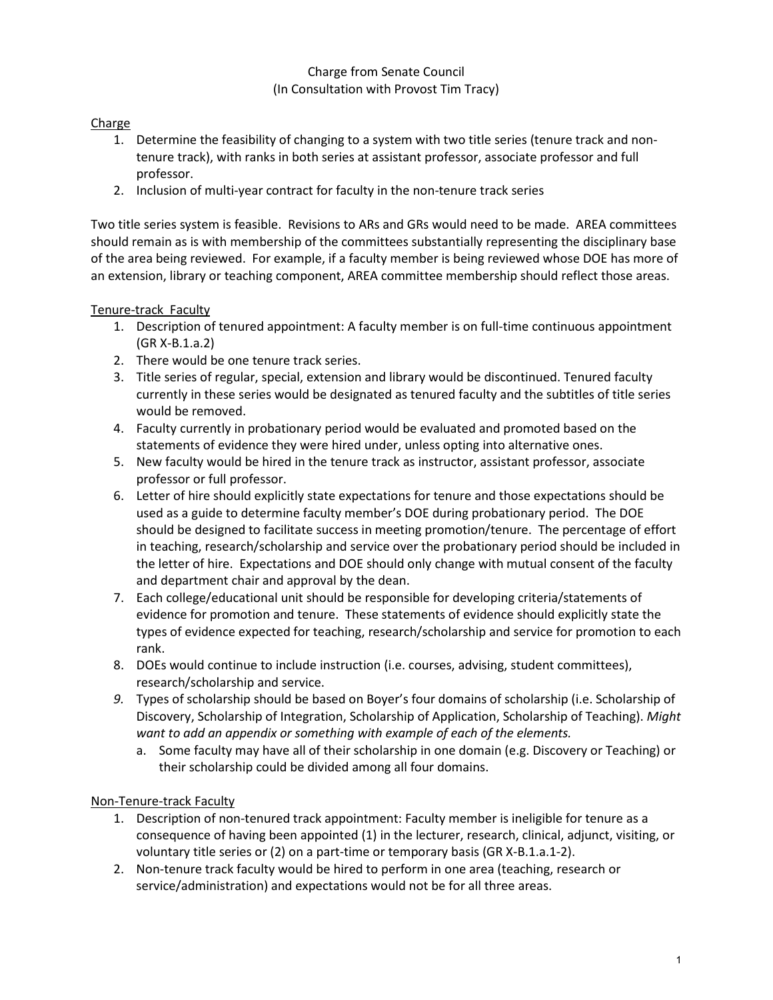## Charge from Senate Council (In Consultation with Provost Tim Tracy)

# Charge

- 1. Determine the feasibility of changing to a system with two title series (tenure track and nontenure track), with ranks in both series at assistant professor, associate professor and full professor.
- 2. Inclusion of multi-year contract for faculty in the non-tenure track series

Two title series system is feasible. Revisions to ARs and GRs would need to be made. AREA committees should remain as is with membership of the committees substantially representing the disciplinary base of the area being reviewed. For example, if a faculty member is being reviewed whose DOE has more of an extension, library or teaching component, AREA committee membership should reflect those areas.

# Tenure-track Faculty

- 1. Description of tenured appointment: A faculty member is on full-time continuous appointment (GR X-B.1.a.2)
- 2. There would be one tenure track series.
- 3. Title series of regular, special, extension and library would be discontinued. Tenured faculty currently in these series would be designated as tenured faculty and the subtitles of title series would be removed.
- 4. Faculty currently in probationary period would be evaluated and promoted based on the statements of evidence they were hired under, unless opting into alternative ones.
- 5. New faculty would be hired in the tenure track as instructor, assistant professor, associate professor or full professor.
- 6. Letter of hire should explicitly state expectations for tenure and those expectations should be used as a guide to determine faculty member's DOE during probationary period. The DOE should be designed to facilitate success in meeting promotion/tenure. The percentage of effort in teaching, research/scholarship and service over the probationary period should be included in the letter of hire. Expectations and DOE should only change with mutual consent of the faculty and department chair and approval by the dean.
- 7. Each college/educational unit should be responsible for developing criteria/statements of evidence for promotion and tenure. These statements of evidence should explicitly state the types of evidence expected for teaching, research/scholarship and service for promotion to each rank.
- 8. DOEs would continue to include instruction (i.e. courses, advising, student committees), research/scholarship and service.
- *9.* Types of scholarship should be based on Boyer's four domains of scholarship (i.e. Scholarship of Discovery, Scholarship of Integration, Scholarship of Application, Scholarship of Teaching). *Might want to add an appendix or something with example of each of the elements.*
	- a. Some faculty may have all of their scholarship in one domain (e.g. Discovery or Teaching) or their scholarship could be divided among all four domains.

## Non-Tenure-track Faculty

- 1. Description of non-tenured track appointment: Faculty member is ineligible for tenure as a consequence of having been appointed (1) in the lecturer, research, clinical, adjunct, visiting, or voluntary title series or (2) on a part-time or temporary basis (GR X-B.1.a.1-2).
- 2. Non-tenure track faculty would be hired to perform in one area (teaching, research or service/administration) and expectations would not be for all three areas.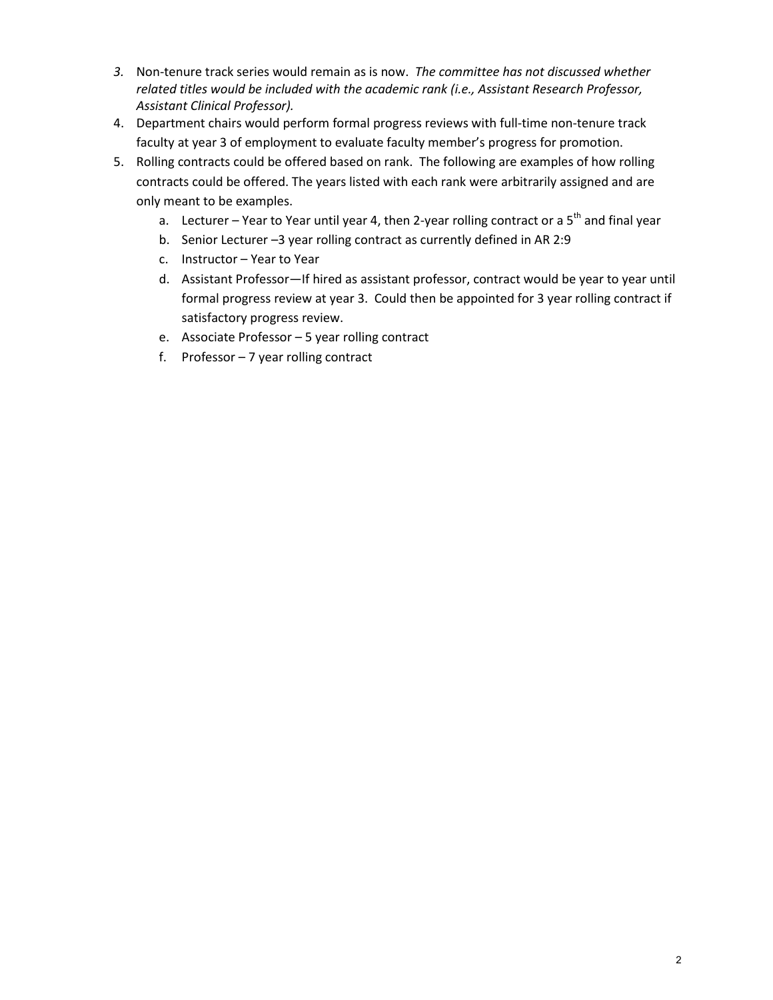- *3.* Non-tenure track series would remain as is now. *The committee has not discussed whether related titles would be included with the academic rank (i.e., Assistant Research Professor, Assistant Clinical Professor).*
- 4. Department chairs would perform formal progress reviews with full-time non-tenure track faculty at year 3 of employment to evaluate faculty member's progress for promotion.
- 5. Rolling contracts could be offered based on rank. The following are examples of how rolling contracts could be offered. The years listed with each rank were arbitrarily assigned and are only meant to be examples.
	- a. Lecturer Year to Year until year 4, then 2-year rolling contract or a  $5<sup>th</sup>$  and final year
	- b. Senior Lecturer –3 year rolling contract as currently defined in AR 2:9
	- c. Instructor Year to Year
	- d. Assistant Professor—If hired as assistant professor, contract would be year to year until formal progress review at year 3. Could then be appointed for 3 year rolling contract if satisfactory progress review.
	- e. Associate Professor 5 year rolling contract
	- f. Professor 7 year rolling contract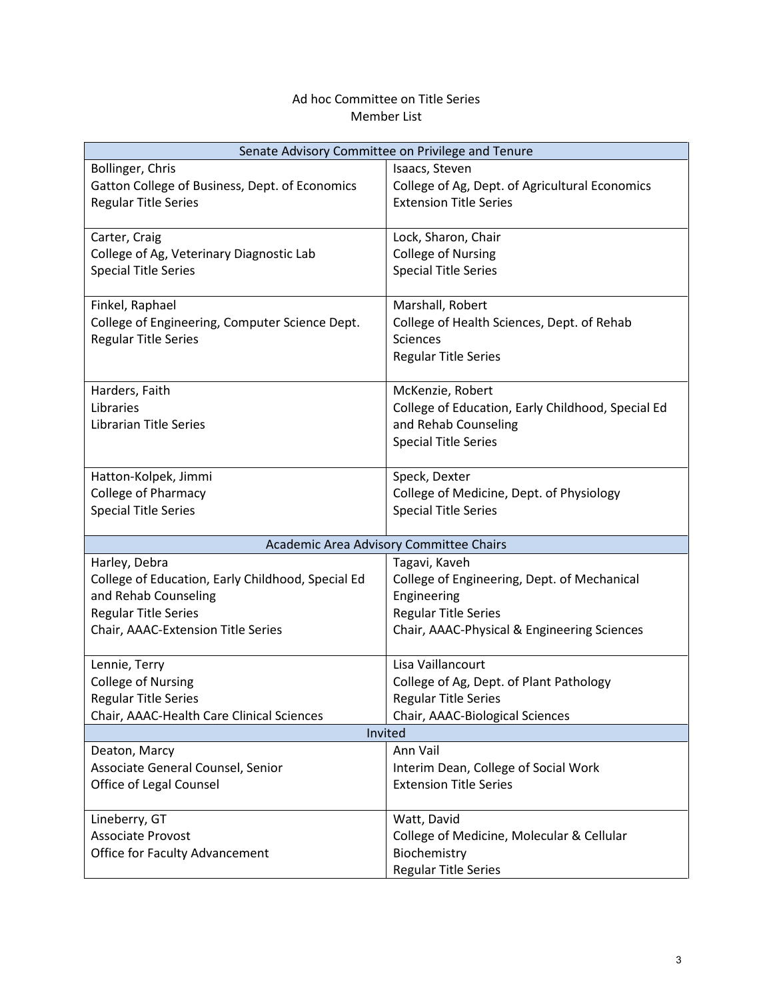### Ad hoc Committee on Title Series Member List

| Senate Advisory Committee on Privilege and Tenure |                                                   |
|---------------------------------------------------|---------------------------------------------------|
| Bollinger, Chris                                  | Isaacs, Steven                                    |
| Gatton College of Business, Dept. of Economics    | College of Ag, Dept. of Agricultural Economics    |
| <b>Regular Title Series</b>                       | <b>Extension Title Series</b>                     |
|                                                   |                                                   |
| Carter, Craig                                     | Lock, Sharon, Chair                               |
| College of Ag, Veterinary Diagnostic Lab          | <b>College of Nursing</b>                         |
| <b>Special Title Series</b>                       | <b>Special Title Series</b>                       |
|                                                   |                                                   |
| Finkel, Raphael                                   | Marshall, Robert                                  |
| College of Engineering, Computer Science Dept.    | College of Health Sciences, Dept. of Rehab        |
| <b>Regular Title Series</b>                       | <b>Sciences</b>                                   |
|                                                   | <b>Regular Title Series</b>                       |
|                                                   |                                                   |
| Harders, Faith                                    | McKenzie, Robert                                  |
| Libraries                                         | College of Education, Early Childhood, Special Ed |
| <b>Librarian Title Series</b>                     | and Rehab Counseling                              |
|                                                   | <b>Special Title Series</b>                       |
|                                                   |                                                   |
| Hatton-Kolpek, Jimmi                              | Speck, Dexter                                     |
| <b>College of Pharmacy</b>                        | College of Medicine, Dept. of Physiology          |
| <b>Special Title Series</b>                       | <b>Special Title Series</b>                       |
| Academic Area Advisory Committee Chairs           |                                                   |
| Harley, Debra                                     | Tagavi, Kaveh                                     |
| College of Education, Early Childhood, Special Ed | College of Engineering, Dept. of Mechanical       |
| and Rehab Counseling                              | Engineering                                       |
| <b>Regular Title Series</b>                       | <b>Regular Title Series</b>                       |
| Chair, AAAC-Extension Title Series                | Chair, AAAC-Physical & Engineering Sciences       |
|                                                   |                                                   |
| Lennie, Terry                                     | Lisa Vaillancourt                                 |
| <b>College of Nursing</b>                         | College of Ag, Dept. of Plant Pathology           |
| <b>Regular Title Series</b>                       | <b>Regular Title Series</b>                       |
| Chair, AAAC-Health Care Clinical Sciences         | Chair, AAAC-Biological Sciences                   |
| Invited                                           |                                                   |
| Deaton, Marcy                                     | Ann Vail                                          |
| Associate General Counsel, Senior                 | Interim Dean, College of Social Work              |
| Office of Legal Counsel                           | <b>Extension Title Series</b>                     |
|                                                   |                                                   |
| Lineberry, GT                                     | Watt, David                                       |
| Associate Provost                                 | College of Medicine, Molecular & Cellular         |
| <b>Office for Faculty Advancement</b>             | Biochemistry                                      |
|                                                   | <b>Regular Title Series</b>                       |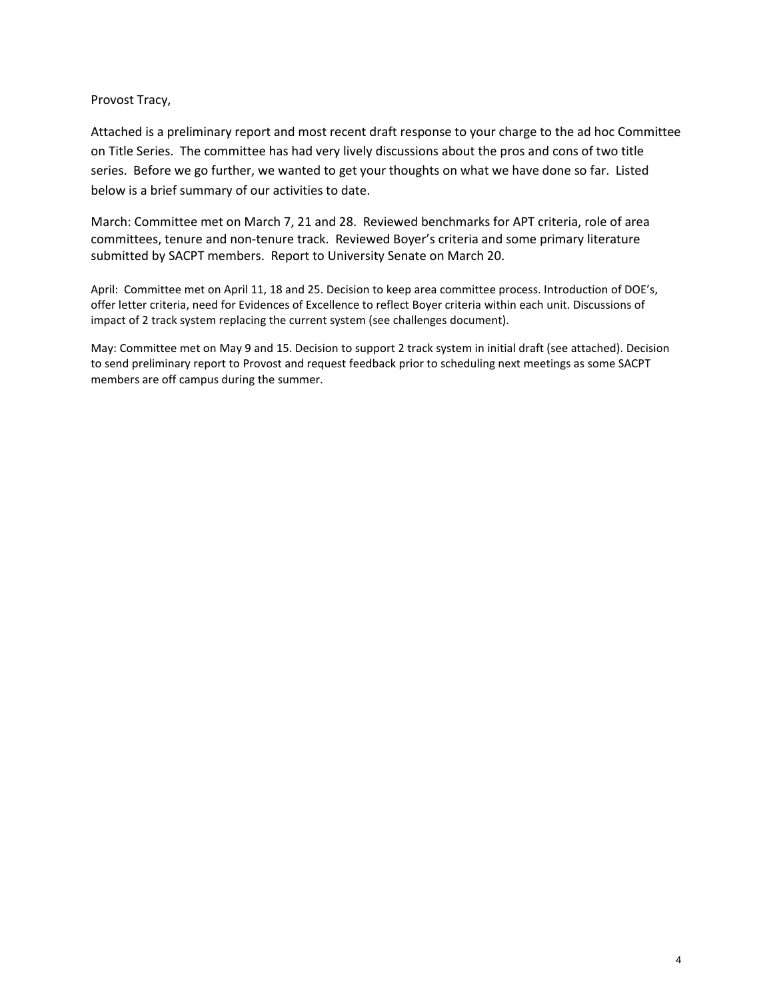#### Provost Tracy,

Attached is a preliminary report and most recent draft response to your charge to the ad hoc Committee on Title Series. The committee has had very lively discussions about the pros and cons of two title series. Before we go further, we wanted to get your thoughts on what we have done so far. Listed below is a brief summary of our activities to date.

March: Committee met on March 7, 21 and 28. Reviewed benchmarks for APT criteria, role of area committees, tenure and non-tenure track. Reviewed Boyer's criteria and some primary literature submitted by SACPT members. Report to University Senate on March 20.

April: Committee met on April 11, 18 and 25. Decision to keep area committee process. Introduction of DOE's, offer letter criteria, need for Evidences of Excellence to reflect Boyer criteria within each unit. Discussions of impact of 2 track system replacing the current system (see challenges document).

May: Committee met on May 9 and 15. Decision to support 2 track system in initial draft (see attached). Decision to send preliminary report to Provost and request feedback prior to scheduling next meetings as some SACPT members are off campus during the summer.